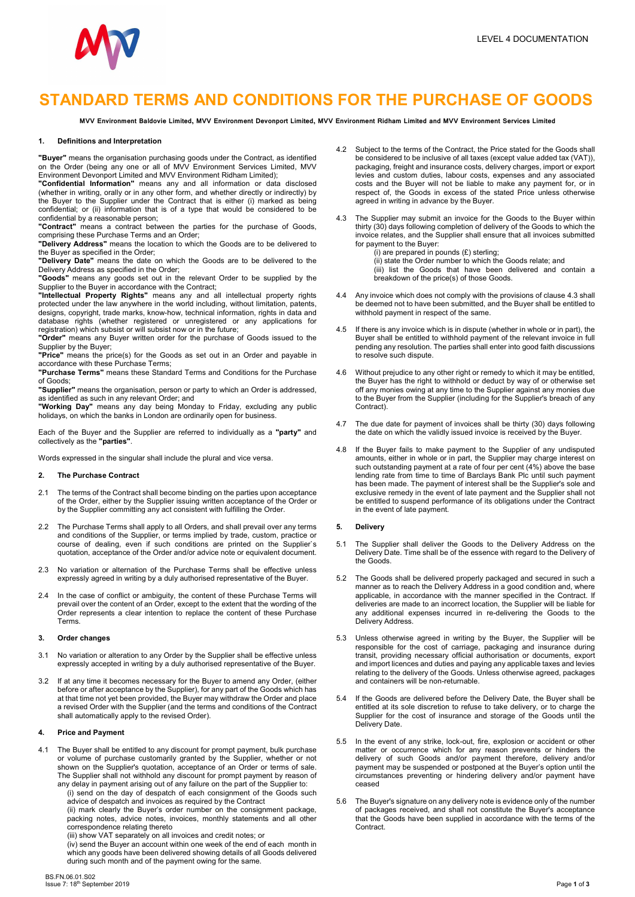

# STANDARD TERMS AND CONDITIONS FOR THE PURCHASE OF GOODS

MVV Environment Baldovie Limited, MVV Environment Devonport Limited, MVV Environment Ridham Limited and MVV Environment Services Limited

#### 1. Definitions and Interpretation

"Buyer" means the organisation purchasing goods under the Contract, as identified on the Order (being any one or all of MVV Environment Services Limited, MVV Environment Devonport Limited and MVV Environment Ridham Limited);

"Confidential Information" means any and all information or data disclosed (whether in writing, orally or in any other form, and whether directly or indirectly) by the Buyer to the Supplier under the Contract that is either (i) marked as being confidential; or (ii) information that is of a type that would be considered to be confidential by a reasonable person;

"Contract" means a contract between the parties for the purchase of Goods, comprising these Purchase Terms and an Order;

"Delivery Address" means the location to which the Goods are to be delivered to the Buyer as specified in the Order;

"Delivery Date" means the date on which the Goods are to be delivered to the Delivery Address as specified in the Order;

"Goods" means any goods set out in the relevant Order to be supplied by the Supplier to the Buyer in accordance with the Contract;

"Intellectual Property Rights" means any and all intellectual property rights protected under the law anywhere in the world including, without limitation, patents, designs, copyright, trade marks, know-how, technical information, rights in data and database rights (whether registered or unregistered or any applications for registration) which subsist or will subsist now or in the future;

"Order" means any Buyer written order for the purchase of Goods issued to the Supplier by the Buyer;

"Price" means the price(s) for the Goods as set out in an Order and payable in accordance with these Purchase Terms;

"Purchase Terms" means these Standard Terms and Conditions for the Purchase of Goods;

"Supplier" means the organisation, person or party to which an Order is addressed, as identified as such in any relevant Order; and

"Working Day" means any day being Monday to Friday, excluding any public holidays, on which the banks in London are ordinarily open for business.

Each of the Buyer and the Supplier are referred to individually as a "party" and collectively as the "parties".

Words expressed in the singular shall include the plural and vice versa.

## 2. The Purchase Contract

- 2.1 The terms of the Contract shall become binding on the parties upon acceptance of the Order, either by the Supplier issuing written acceptance of the Order or by the Supplier committing any act consistent with fulfilling the Order.
- 2.2 The Purchase Terms shall apply to all Orders, and shall prevail over any terms and conditions of the Supplier, or terms implied by trade, custom, practice or course of dealing, even if such conditions are printed on the Supplier`s quotation, acceptance of the Order and/or advice note or equivalent document.
- 2.3 No variation or alternation of the Purchase Terms shall be effective unless expressly agreed in writing by a duly authorised representative of the Buyer.
- 2.4 In the case of conflict or ambiguity, the content of these Purchase Terms will prevail over the content of an Order, except to the extent that the wording of the Order represents a clear intention to replace the content of these Purchase Terms.

#### 3. Order changes

- 3.1 No variation or alteration to any Order by the Supplier shall be effective unless expressly accepted in writing by a duly authorised representative of the Buyer.
- 3.2 If at any time it becomes necessary for the Buyer to amend any Order, (either before or after acceptance by the Supplier), for any part of the Goods which has at that time not yet been provided, the Buyer may withdraw the Order and place a revised Order with the Supplier (and the terms and conditions of the Contract shall automatically apply to the revised Order).

## 4. Price and Payment

- 4.1 The Buyer shall be entitled to any discount for prompt payment, bulk purchase or volume of purchase customarily granted by the Supplier, whether or not shown on the Supplier's quotation, acceptance of an Order or terms of sale. The Supplier shall not withhold any discount for prompt payment by reason of any delay in payment arising out of any failure on the part of the Supplier to:
	- (i) send on the day of despatch of each consignment of the Goods such advice of despatch and invoices as required by the Contract

 (ii) mark clearly the Buyer's order number on the consignment package, packing notes, advice notes, invoices, monthly statements and all other correspondence relating thereto

(iii) show VAT separately on all invoices and credit notes; or

 (iv) send the Buyer an account within one week of the end of each month in which any goods have been delivered showing details of all Goods delivered during such month and of the payment owing for the same.

- 4.2 Subject to the terms of the Contract, the Price stated for the Goods shall be considered to be inclusive of all taxes (except value added tax (VAT)), packaging, freight and insurance costs, delivery charges, import or export levies and custom duties, labour costs, expenses and any associated costs and the Buyer will not be liable to make any payment for, or in respect of, the Goods in excess of the stated Price unless otherwise agreed in writing in advance by the Buyer.
- The Supplier may submit an invoice for the Goods to the Buyer within thirty (30) days following completion of delivery of the Goods to which the invoice relates, and the Supplier shall ensure that all invoices submitted for payment to the Buyer:
- (i) are prepared in pounds (£) sterling; (ii) state the Order number to which the Goods relate; and

 (iii) list the Goods that have been delivered and contain a breakdown of the price(s) of those Goods.

- 4.4 Any invoice which does not comply with the provisions of clause 4.3 shall be deemed not to have been submitted, and the Buyer shall be entitled to withhold payment in respect of the same.
- 4.5 If there is any invoice which is in dispute (whether in whole or in part), the Buyer shall be entitled to withhold payment of the relevant invoice in full pending any resolution. The parties shall enter into good faith discussions to resolve such dispute.
- 4.6 Without prejudice to any other right or remedy to which it may be entitled, the Buyer has the right to withhold or deduct by way of or otherwise set off any monies owing at any time to the Supplier against any monies due to the Buyer from the Supplier (including for the Supplier's breach of any Contract).
- 4.7 The due date for payment of invoices shall be thirty (30) days following the date on which the validly issued invoice is received by the Buyer.
- 4.8 If the Buyer fails to make payment to the Supplier of any undisputed amounts, either in whole or in part, the Supplier may charge interest on such outstanding payment at a rate of four per cent (4%) above the base lending rate from time to time of Barclays Bank Plc until such payment has been made. The payment of interest shall be the Supplier's sole and exclusive remedy in the event of late payment and the Supplier shall not be entitled to suspend performance of its obligations under the Contract in the event of late payment.

#### 5. Delivery

- 5.1 The Supplier shall deliver the Goods to the Delivery Address on the Delivery Date. Time shall be of the essence with regard to the Delivery of the Goods.
- 5.2 The Goods shall be delivered properly packaged and secured in such a manner as to reach the Delivery Address in a good condition and, where applicable, in accordance with the manner specified in the Contract. If deliveries are made to an incorrect location, the Supplier will be liable for any additional expenses incurred in re-delivering the Goods to the Delivery Address.
- 5.3 Unless otherwise agreed in writing by the Buyer, the Supplier will be responsible for the cost of carriage, packaging and insurance during transit, providing necessary official authorisation or documents, export and import licences and duties and paying any applicable taxes and levies relating to the delivery of the Goods. Unless otherwise agreed, packages and containers will be non-returnable.
- 5.4 If the Goods are delivered before the Delivery Date, the Buyer shall be entitled at its sole discretion to refuse to take delivery, or to charge the Supplier for the cost of insurance and storage of the Goods until the Delivery Date.
- In the event of any strike, lock-out, fire, explosion or accident or other matter or occurrence which for any reason prevents or hinders the delivery of such Goods and/or payment therefore, delivery and/or payment may be suspended or postponed at the Buyer's option until the circumstances preventing or hindering delivery and/or payment have ceased
- 5.6 The Buyer's signature on any delivery note is evidence only of the number of packages received, and shall not constitute the Buyer's acceptance that the Goods have been supplied in accordance with the terms of the Contract.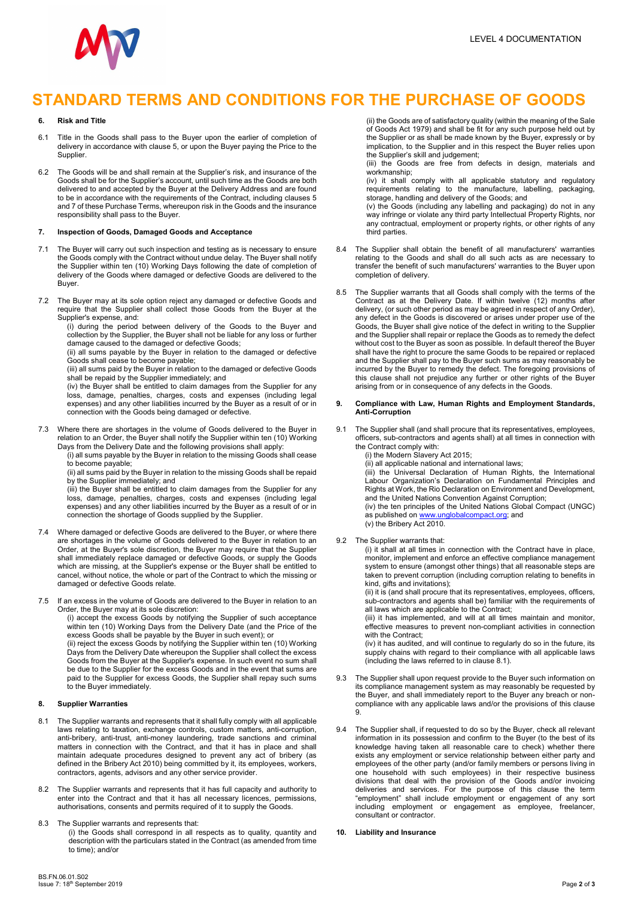

# STANDARD TERMS AND CONDITIONS FOR THE PURCHASE OF GOODS

# 6. Risk and Title

- 6.1 Title in the Goods shall pass to the Buyer upon the earlier of completion of delivery in accordance with clause 5, or upon the Buyer paying the Price to the **Supplier**
- 6.2 The Goods will be and shall remain at the Supplier's risk, and insurance of the Goods shall be for the Supplier's account, until such time as the Goods are both delivered to and accepted by the Buyer at the Delivery Address and are found to be in accordance with the requirements of the Contract, including clauses 5 and 7 of these Purchase Terms, whereupon risk in the Goods and the insurance responsibility shall pass to the Buyer.

#### 7. Inspection of Goods, Damaged Goods and Acceptance

- 7.1 The Buyer will carry out such inspection and testing as is necessary to ensure the Goods comply with the Contract without undue delay. The Buyer shall notify the Supplier within ten (10) Working Days following the date of completion of delivery of the Goods where damaged or defective Goods are delivered to the **Buver**
- 7.2 The Buyer may at its sole option reject any damaged or defective Goods and require that the Supplier shall collect those Goods from the Buyer at the Supplier's expense, and:

(i) during the period between delivery of the Goods to the Buyer and collection by the Supplier, the Buyer shall not be liable for any loss or further damage caused to the damaged or defective Goods;

(ii) all sums payable by the Buyer in relation to the damaged or defective Goods shall cease to become payable;

(iii) all sums paid by the Buyer in relation to the damaged or defective Goods shall be repaid by the Supplier immediately; and

 (iv) the Buyer shall be entitled to claim damages from the Supplier for any loss, damage, penalties, charges, costs and expenses (including legal expenses) and any other liabilities incurred by the Buyer as a result of or in connection with the Goods being damaged or defective.

- 7.3 Where there are shortages in the volume of Goods delivered to the Buyer in relation to an Order, the Buyer shall notify the Supplier within ten (10) Working Days from the Delivery Date and the following provisions shall apply:
	- (i) all sums payable by the Buyer in relation to the missing Goods shall cease to become payable;

 (ii) all sums paid by the Buyer in relation to the missing Goods shall be repaid by the Supplier immediately; and

 (iii) the Buyer shall be entitled to claim damages from the Supplier for any loss, damage, penalties, charges, costs and expenses (including legal expenses) and any other liabilities incurred by the Buyer as a result of or in connection the shortage of Goods supplied by the Supplier.

- 7.4 Where damaged or defective Goods are delivered to the Buyer, or where there are shortages in the volume of Goods delivered to the Buyer in relation to an Order, at the Buyer's sole discretion, the Buyer may require that the Supplier shall immediately replace damaged or defective Goods, or supply the Goods which are missing, at the Supplier's expense or the Buyer shall be entitled to cancel, without notice, the whole or part of the Contract to which the missing or damaged or defective Goods relate.
- 7.5 If an excess in the volume of Goods are delivered to the Buyer in relation to an Order, the Buyer may at its sole discretion:

 (i) accept the excess Goods by notifying the Supplier of such acceptance within ten (10) Working Days from the Delivery Date (and the Price of the excess Goods shall be payable by the Buyer in such event); or

 (ii) reject the excess Goods by notifying the Supplier within ten (10) Working Days from the Delivery Date whereupon the Supplier shall collect the excess Goods from the Buyer at the Supplier's expense. In such event no sum shall be due to the Supplier for the excess Goods and in the event that sums are paid to the Supplier for excess Goods, the Supplier shall repay such sums to the Buyer immediately.

## 8. Supplier Warranties

- 8.1 The Supplier warrants and represents that it shall fully comply with all applicable laws relating to taxation, exchange controls, custom matters, anti-corruption, anti-bribery, anti-trust, anti-money laundering, trade sanctions and criminal matters in connection with the Contract, and that it has in place and shall maintain adequate procedures designed to prevent any act of bribery (as defined in the Bribery Act 2010) being committed by it, its employees, workers, contractors, agents, advisors and any other service provider.
- 8.2 The Supplier warrants and represents that it has full capacity and authority to enter into the Contract and that it has all necessary licences, permissions, authorisations, consents and permits required of it to supply the Goods.
- 8.3 The Supplier warrants and represents that:
- (i) the Goods shall correspond in all respects as to quality, quantity and description with the particulars stated in the Contract (as amended from time to time); and/or

 (ii) the Goods are of satisfactory quality (within the meaning of the Sale of Goods Act 1979) and shall be fit for any such purpose held out by the Supplier or as shall be made known by the Buyer, expressly or by implication, to the Supplier and in this respect the Buyer relies upon the Supplier's skill and judgement;

 (iii) the Goods are free from defects in design, materials and workmanship;

 (iv) it shall comply with all applicable statutory and regulatory requirements relating to the manufacture, labelling, packaging, storage, handling and delivery of the Goods; and

 (v) the Goods (including any labelling and packaging) do not in any way infringe or violate any third party Intellectual Property Rights, nor any contractual, employment or property rights, or other rights of any third parties.

- 8.4 The Supplier shall obtain the benefit of all manufacturers' warranties relating to the Goods and shall do all such acts as are necessary to transfer the benefit of such manufacturers' warranties to the Buyer upon completion of delivery.
- 8.5 The Supplier warrants that all Goods shall comply with the terms of the Contract as at the Delivery Date. If within twelve (12) months after delivery, (or such other period as may be agreed in respect of any Order), any defect in the Goods is discovered or arises under proper use of the Goods, the Buyer shall give notice of the defect in writing to the Supplier and the Supplier shall repair or replace the Goods as to remedy the defect without cost to the Buyer as soon as possible. In default thereof the Buyer shall have the right to procure the same Goods to be repaired or replaced and the Supplier shall pay to the Buyer such sums as may reasonably be incurred by the Buyer to remedy the defect. The foregoing provisions of this clause shall not prejudice any further or other rights of the Buyer arising from or in consequence of any defects in the Goods.

### 9. Compliance with Law, Human Rights and Employment Standards, Anti-Corruption

- 9.1 The Supplier shall (and shall procure that its representatives, employees, officers, sub-contractors and agents shall) at all times in connection with the Contract comply with:
	- (i) the Modern Slavery Act 2015;

(ii) all applicable national and international laws;

 (iii) the Universal Declaration of Human Rights, the International Labour Organization's Declaration on Fundamental Principles and Rights at Work, the Rio Declaration on Environment and Development, and the United Nations Convention Against Corruption;

 (iv) the ten principles of the United Nations Global Compact (UNGC) as published on www.unglobalcompact.org; and (v) the Bribery Act 2010.

9.2 The Supplier warrants that:

 (i) it shall at all times in connection with the Contract have in place, monitor, implement and enforce an effective compliance management system to ensure (amongst other things) that all reasonable steps are taken to prevent corruption (including corruption relating to benefits in kind, gifts and invitations);

 (ii) it is (and shall procure that its representatives, employees, officers, sub-contractors and agents shall be) familiar with the requirements of all laws which are applicable to the Contract;

 (iii) it has implemented, and will at all times maintain and monitor, effective measures to prevent non-compliant activities in connection with the Contract;

 (iv) it has audited, and will continue to regularly do so in the future, its supply chains with regard to their compliance with all applicable laws (including the laws referred to in clause 8.1).

- 9.3 The Supplier shall upon request provide to the Buyer such information on its compliance management system as may reasonably be requested by the Buyer, and shall immediately report to the Buyer any breach or noncompliance with any applicable laws and/or the provisions of this clause 9.
- 9.4 The Supplier shall, if requested to do so by the Buyer, check all relevant information in its possession and confirm to the Buyer (to the best of its knowledge having taken all reasonable care to check) whether there exists any employment or service relationship between either party and employees of the other party (and/or family members or persons living in one household with such employees) in their respective business divisions that deal with the provision of the Goods and/or invoicing deliveries and services. For the purpose of this clause the term "employment" shall include employment or engagement of any sort including employment or engagement as employee, freelancer, consultant or contractor.

## 10. Liability and Insurance